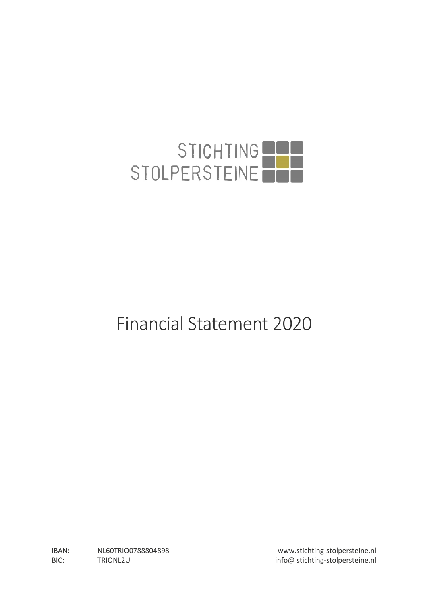

# Financial Statement 2020

IBAN: NL60TRIO0788804898 www.stichting-stolpersteine.nl BIC: TRIONL2U TRIONL2U info@ stichting-stolpersteine.nl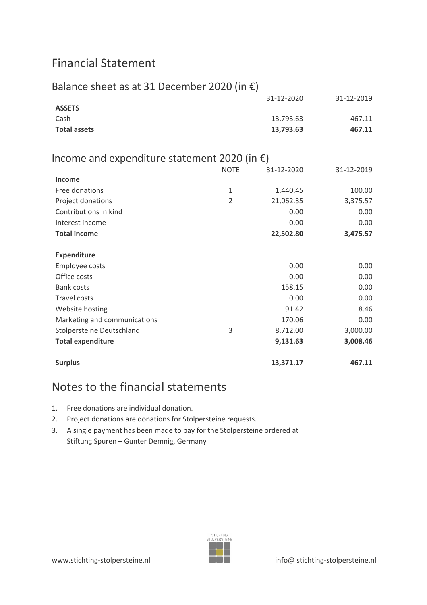# Financial Statement

| Balance sheet as at 31 December 2020 (in $\epsilon$ )  |                |            |            |
|--------------------------------------------------------|----------------|------------|------------|
|                                                        |                | 31-12-2020 | 31-12-2019 |
| <b>ASSETS</b>                                          |                |            |            |
| Cash                                                   |                | 13,793.63  | 467.11     |
| <b>Total assets</b>                                    |                | 13,793.63  | 467.11     |
| Income and expenditure statement 2020 (in $\epsilon$ ) |                |            |            |
|                                                        | <b>NOTE</b>    | 31-12-2020 | 31-12-2019 |
| <b>Income</b>                                          |                |            |            |
| Free donations                                         | 1              | 1.440.45   | 100.00     |
| Project donations                                      | $\overline{2}$ | 21,062.35  | 3,375.57   |
| Contributions in kind                                  |                | 0.00       | 0.00       |
| Interest income                                        |                | 0.00       | 0.00       |
| <b>Total income</b>                                    |                | 22,502.80  | 3,475.57   |
| <b>Expenditure</b>                                     |                |            |            |
| Employee costs                                         |                | 0.00       | 0.00       |
| Office costs                                           |                | 0.00       | 0.00       |
| <b>Bank costs</b>                                      |                | 158.15     | 0.00       |
| <b>Travel costs</b>                                    |                | 0.00       | 0.00       |
| Website hosting                                        |                | 91.42      | 8.46       |
| Marketing and communications                           |                | 170.06     | 0.00       |
| Stolpersteine Deutschland                              | 3              | 8,712.00   | 3,000.00   |
| <b>Total expenditure</b>                               |                | 9,131.63   | 3,008.46   |
| <b>Surplus</b>                                         |                | 13,371.17  | 467.11     |

## Notes to the financial statements

- 1. Free donations are individual donation.
- 2. Project donations are donations for Stolpersteine requests.
- 3. A single payment has been made to pay for the Stolpersteine ordered at Stiftung Spuren – Gunter Demnig, Germany